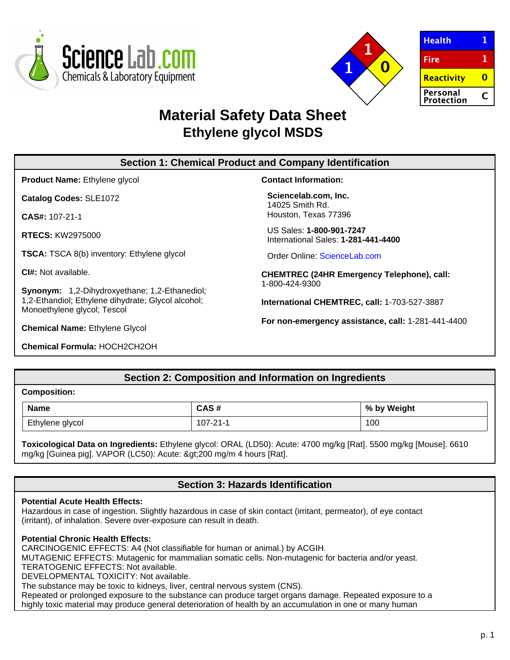



| <b>Health</b>          |   |
|------------------------|---|
| <b>Fire</b>            | 1 |
| Reactivity             |   |
| Personal<br>Protection |   |

# **Material Safety Data Sheet Ethylene glycol MSDS**

# **Section 1: Chemical Product and Company Identification**

**Product Name:** Ethylene glycol

**Catalog Codes:** SLE1072

**CAS#:** 107-21-1

**RTECS:** KW2975000

**TSCA:** TSCA 8(b) inventory: Ethylene glycol

**CI#:** Not available.

**Synonym:** 1,2-Dihydroxyethane; 1,2-Ethanediol; 1,2-Ethandiol; Ethylene dihydrate; Glycol alcohol; Monoethylene glycol; Tescol

**Chemical Name:** Ethylene Glycol

**Chemical Formula:** HOCH2CH2OH

**Contact Information:**

**Sciencelab.com, Inc.** 14025 Smith Rd. Houston, Texas 77396

US Sales: **1-800-901-7247** International Sales: **1-281-441-4400**

Order Online: [ScienceLab.com](http://www.sciencelab.com/)

**CHEMTREC (24HR Emergency Telephone), call:** 1-800-424-9300

**International CHEMTREC, call:** 1-703-527-3887

**For non-emergency assistance, call:** 1-281-441-4400

# **Section 2: Composition and Information on Ingredients**

# **Composition:**

| <b>Name</b>     | CAS #<br>しハつ # | by Weight<br>% |
|-----------------|----------------|----------------|
| Ethylene glycol | 107-21-1       | 100            |

**Toxicological Data on Ingredients:** Ethylene glycol: ORAL (LD50): Acute: 4700 mg/kg [Rat]. 5500 mg/kg [Mouse]. 6610 mg/kg [Guinea pig]. VAPOR (LC50): Acute: >200 mg/m 4 hours [Rat].

# **Section 3: Hazards Identification**

#### **Potential Acute Health Effects:**

Hazardous in case of ingestion. Slightly hazardous in case of skin contact (irritant, permeator), of eye contact (irritant), of inhalation. Severe over-exposure can result in death.

# **Potential Chronic Health Effects:**

CARCINOGENIC EFFECTS: A4 (Not classifiable for human or animal.) by ACGIH.

MUTAGENIC EFFECTS: Mutagenic for mammalian somatic cells. Non-mutagenic for bacteria and/or yeast.

TERATOGENIC EFFECTS: Not available.

DEVELOPMENTAL TOXICITY: Not available.

The substance may be toxic to kidneys, liver, central nervous system (CNS).

Repeated or prolonged exposure to the substance can produce target organs damage. Repeated exposure to a highly toxic material may produce general deterioration of health by an accumulation in one or many human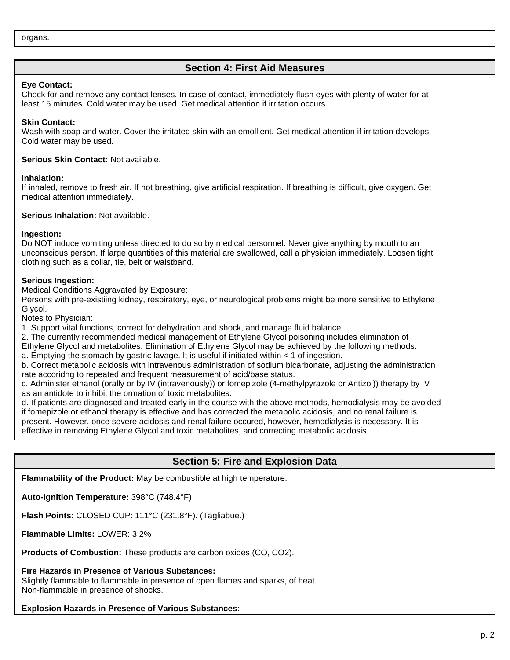# **Section 4: First Aid Measures**

# **Eye Contact:**

Check for and remove any contact lenses. In case of contact, immediately flush eyes with plenty of water for at least 15 minutes. Cold water may be used. Get medical attention if irritation occurs.

## **Skin Contact:**

Wash with soap and water. Cover the irritated skin with an emollient. Get medical attention if irritation develops. Cold water may be used.

#### **Serious Skin Contact:** Not available.

#### **Inhalation:**

If inhaled, remove to fresh air. If not breathing, give artificial respiration. If breathing is difficult, give oxygen. Get medical attention immediately.

**Serious Inhalation:** Not available.

# **Ingestion:**

Do NOT induce vomiting unless directed to do so by medical personnel. Never give anything by mouth to an unconscious person. If large quantities of this material are swallowed, call a physician immediately. Loosen tight clothing such as a collar, tie, belt or waistband.

# **Serious Ingestion:**

Medical Conditions Aggravated by Exposure:

Persons with pre-existiing kidney, respiratory, eye, or neurological problems might be more sensitive to Ethylene Glycol.

Notes to Physician:

1. Support vital functions, correct for dehydration and shock, and manage fluid balance.

2. The currently recommended medical management of Ethylene Glycol poisoning includes elimination of

Ethylene Glycol and metabolites. Elimination of Ethylene Glycol may be achieved by the following methods:

a. Emptying the stomach by gastric lavage. It is useful if initiated within < 1 of ingestion.

b. Correct metabolic acidosis with intravenous administration of sodium bicarbonate, adjusting the administration rate accoridng to repeated and frequent measurement of acid/base status.

c. Administer ethanol (orally or by IV (intravenously)) or fomepizole (4-methylpyrazole or Antizol)) therapy by IV as an antidote to inhibit the ormation of toxic metabolites.

d. If patients are diagnosed and treated early in the course with the above methods, hemodialysis may be avoided if fomepizole or ethanol therapy is effective and has corrected the metabolic acidosis, and no renal failure is present. However, once severe acidosis and renal failure occured, however, hemodialysis is necessary. It is effective in removing Ethylene Glycol and toxic metabolites, and correcting metabolic acidosis.

# **Section 5: Fire and Explosion Data**

**Flammability of the Product:** May be combustible at high temperature.

**Auto-Ignition Temperature:** 398°C (748.4°F)

**Flash Points:** CLOSED CUP: 111°C (231.8°F). (Tagliabue.)

**Flammable Limits:** LOWER: 3.2%

**Products of Combustion:** These products are carbon oxides (CO, CO2).

**Fire Hazards in Presence of Various Substances:**

Slightly flammable to flammable in presence of open flames and sparks, of heat. Non-flammable in presence of shocks.

**Explosion Hazards in Presence of Various Substances:**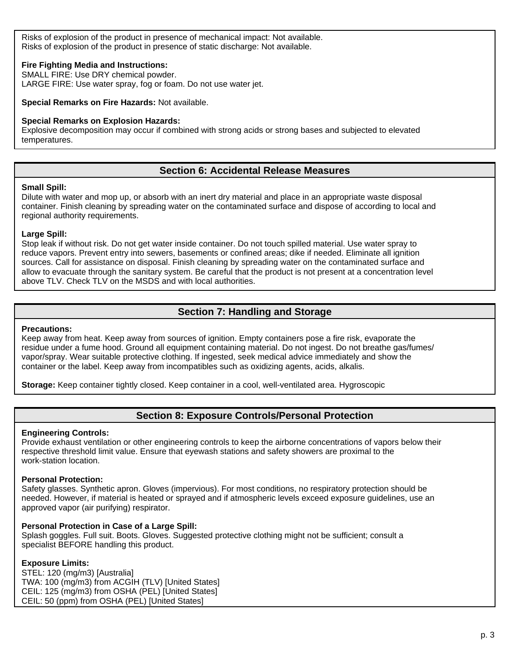Risks of explosion of the product in presence of mechanical impact: Not available. Risks of explosion of the product in presence of static discharge: Not available.

# **Fire Fighting Media and Instructions:**

SMALL FIRE: Use DRY chemical powder. LARGE FIRE: Use water spray, fog or foam. Do not use water jet.

**Special Remarks on Fire Hazards:** Not available.

# **Special Remarks on Explosion Hazards:**

Explosive decomposition may occur if combined with strong acids or strong bases and subjected to elevated temperatures.

# **Section 6: Accidental Release Measures**

#### **Small Spill:**

Dilute with water and mop up, or absorb with an inert dry material and place in an appropriate waste disposal container. Finish cleaning by spreading water on the contaminated surface and dispose of according to local and regional authority requirements.

#### **Large Spill:**

Stop leak if without risk. Do not get water inside container. Do not touch spilled material. Use water spray to reduce vapors. Prevent entry into sewers, basements or confined areas; dike if needed. Eliminate all ignition sources. Call for assistance on disposal. Finish cleaning by spreading water on the contaminated surface and allow to evacuate through the sanitary system. Be careful that the product is not present at a concentration level above TLV. Check TLV on the MSDS and with local authorities.

# **Section 7: Handling and Storage**

#### **Precautions:**

Keep away from heat. Keep away from sources of ignition. Empty containers pose a fire risk, evaporate the residue under a fume hood. Ground all equipment containing material. Do not ingest. Do not breathe gas/fumes/ vapor/spray. Wear suitable protective clothing. If ingested, seek medical advice immediately and show the container or the label. Keep away from incompatibles such as oxidizing agents, acids, alkalis.

**Storage:** Keep container tightly closed. Keep container in a cool, well-ventilated area. Hygroscopic

# **Section 8: Exposure Controls/Personal Protection**

#### **Engineering Controls:**

Provide exhaust ventilation or other engineering controls to keep the airborne concentrations of vapors below their respective threshold limit value. Ensure that eyewash stations and safety showers are proximal to the work-station location.

#### **Personal Protection:**

Safety glasses. Synthetic apron. Gloves (impervious). For most conditions, no respiratory protection should be needed. However, if material is heated or sprayed and if atmospheric levels exceed exposure guidelines, use an approved vapor (air purifying) respirator.

#### **Personal Protection in Case of a Large Spill:**

Splash goggles. Full suit. Boots. Gloves. Suggested protective clothing might not be sufficient; consult a specialist BEFORE handling this product.

# **Exposure Limits:**

STEL: 120 (mg/m3) [Australia] TWA: 100 (mg/m3) from ACGIH (TLV) [United States] CEIL: 125 (mg/m3) from OSHA (PEL) [United States] CEIL: 50 (ppm) from OSHA (PEL) [United States]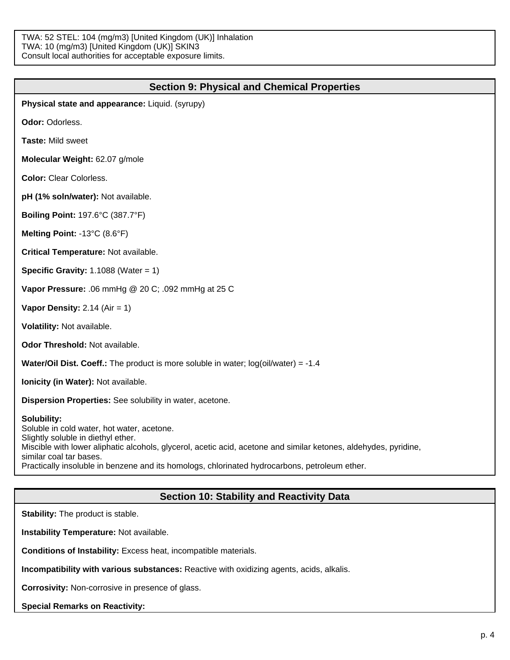TWA: 52 STEL: 104 (mg/m3) [United Kingdom (UK)] Inhalation TWA: 10 (mg/m3) [United Kingdom (UK)] SKIN3 Consult local authorities for acceptable exposure limits.

| <b>Section 9: Physical and Chemical Properties</b>                                                                                                                                                                                                                                                                                              |
|-------------------------------------------------------------------------------------------------------------------------------------------------------------------------------------------------------------------------------------------------------------------------------------------------------------------------------------------------|
| Physical state and appearance: Liquid. (syrupy)                                                                                                                                                                                                                                                                                                 |
| Odor: Odorless.                                                                                                                                                                                                                                                                                                                                 |
| Taste: Mild sweet                                                                                                                                                                                                                                                                                                                               |
| Molecular Weight: 62.07 g/mole                                                                                                                                                                                                                                                                                                                  |
| <b>Color: Clear Colorless.</b>                                                                                                                                                                                                                                                                                                                  |
| pH (1% soln/water): Not available.                                                                                                                                                                                                                                                                                                              |
| <b>Boiling Point: 197.6°C (387.7°F)</b>                                                                                                                                                                                                                                                                                                         |
| Melting Point: -13°C (8.6°F)                                                                                                                                                                                                                                                                                                                    |
| Critical Temperature: Not available.                                                                                                                                                                                                                                                                                                            |
| <b>Specific Gravity: 1.1088 (Water = 1)</b>                                                                                                                                                                                                                                                                                                     |
| Vapor Pressure: .06 mmHg @ 20 C; .092 mmHg at 25 C                                                                                                                                                                                                                                                                                              |
| Vapor Density: $2.14$ (Air = 1)                                                                                                                                                                                                                                                                                                                 |
| Volatility: Not available.                                                                                                                                                                                                                                                                                                                      |
| Odor Threshold: Not available.                                                                                                                                                                                                                                                                                                                  |
| <b>Water/Oil Dist. Coeff.:</b> The product is more soluble in water; $log(oil/water) = -1.4$                                                                                                                                                                                                                                                    |
| Ionicity (in Water): Not available.                                                                                                                                                                                                                                                                                                             |
| Dispersion Properties: See solubility in water, acetone.                                                                                                                                                                                                                                                                                        |
| Solubility:<br>Soluble in cold water, hot water, acetone.<br>Slightly soluble in diethyl ether.<br>Miscible with lower aliphatic alcohols, glycerol, acetic acid, acetone and similar ketones, aldehydes, pyridine,<br>similar coal tar bases.<br>Practically insoluble in benzene and its homologs, chlorinated hydrocarbons, petroleum ether. |
|                                                                                                                                                                                                                                                                                                                                                 |

# **Section 10: Stability and Reactivity Data**

**Stability:** The product is stable.

**Instability Temperature:** Not available.

**Conditions of Instability:** Excess heat, incompatible materials.

**Incompatibility with various substances:** Reactive with oxidizing agents, acids, alkalis.

**Corrosivity:** Non-corrosive in presence of glass.

**Special Remarks on Reactivity:**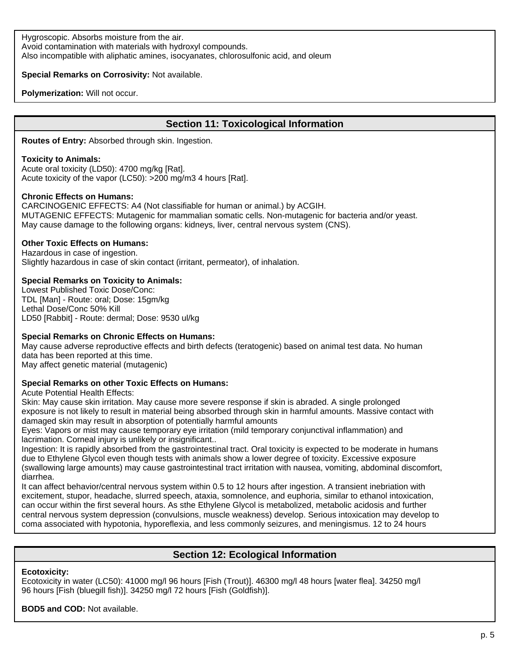Hygroscopic. Absorbs moisture from the air. Avoid contamination with materials with hydroxyl compounds. Also incompatible with aliphatic amines, isocyanates, chlorosulfonic acid, and oleum

## **Special Remarks on Corrosivity:** Not available.

**Polymerization:** Will not occur.

# **Section 11: Toxicological Information**

**Routes of Entry:** Absorbed through skin. Ingestion.

#### **Toxicity to Animals:**

Acute oral toxicity (LD50): 4700 mg/kg [Rat]. Acute toxicity of the vapor (LC50): >200 mg/m3 4 hours [Rat].

#### **Chronic Effects on Humans:**

CARCINOGENIC EFFECTS: A4 (Not classifiable for human or animal.) by ACGIH. MUTAGENIC EFFECTS: Mutagenic for mammalian somatic cells. Non-mutagenic for bacteria and/or yeast. May cause damage to the following organs: kidneys, liver, central nervous system (CNS).

#### **Other Toxic Effects on Humans:**

Hazardous in case of ingestion. Slightly hazardous in case of skin contact (irritant, permeator), of inhalation.

# **Special Remarks on Toxicity to Animals:**

Lowest Published Toxic Dose/Conc: TDL [Man] - Route: oral; Dose: 15gm/kg Lethal Dose/Conc 50% Kill LD50 [Rabbit] - Route: dermal; Dose: 9530 ul/kg

# **Special Remarks on Chronic Effects on Humans:**

May cause adverse reproductive effects and birth defects (teratogenic) based on animal test data. No human data has been reported at this time. May affect genetic material (mutagenic)

# **Special Remarks on other Toxic Effects on Humans:**

Acute Potential Health Effects:

Skin: May cause skin irritation. May cause more severe response if skin is abraded. A single prolonged exposure is not likely to result in material being absorbed through skin in harmful amounts. Massive contact with damaged skin may result in absorption of potentially harmful amounts

Eyes: Vapors or mist may cause temporary eye irritation (mild temporary conjunctival inflammation) and lacrimation. Corneal injury is unlikely or insignificant..

Ingestion: It is rapidly absorbed from the gastrointestinal tract. Oral toxicity is expected to be moderate in humans due to Ethylene Glycol even though tests with animals show a lower degree of toxicity. Excessive exposure (swallowing large amounts) may cause gastrointestinal tract irritation with nausea, vomiting, abdominal discomfort, diarrhea.

It can affect behavior/central nervous system within 0.5 to 12 hours after ingestion. A transient inebriation with excitement, stupor, headache, slurred speech, ataxia, somnolence, and euphoria, similar to ethanol intoxication, can occur within the first several hours. As sthe Ethylene Glycol is metabolized, metabolic acidosis and further central nervous system depression (convulsions, muscle weakness) develop. Serious intoxication may develop to coma associated with hypotonia, hyporeflexia, and less commonly seizures, and meningismus. 12 to 24 hours

# **Section 12: Ecological Information**

#### **Ecotoxicity:**

Ecotoxicity in water (LC50): 41000 mg/l 96 hours [Fish (Trout)]. 46300 mg/l 48 hours [water flea]. 34250 mg/l 96 hours [Fish (bluegill fish)]. 34250 mg/l 72 hours [Fish (Goldfish)].

#### **BOD5 and COD:** Not available.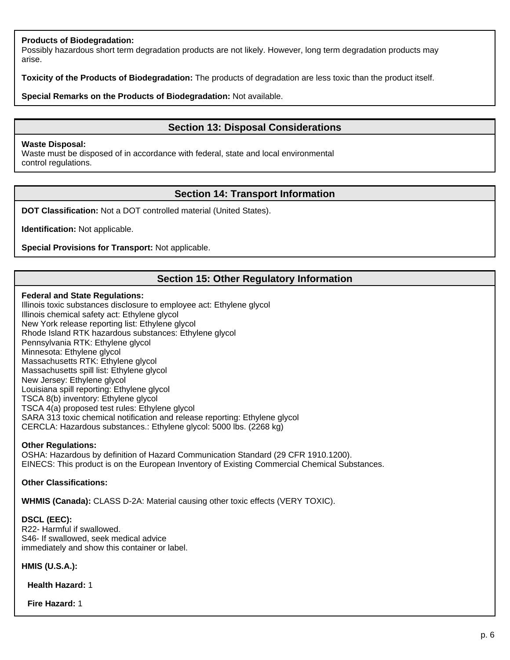## **Products of Biodegradation:**

Possibly hazardous short term degradation products are not likely. However, long term degradation products may arise.

**Toxicity of the Products of Biodegradation:** The products of degradation are less toxic than the product itself.

**Special Remarks on the Products of Biodegradation:** Not available.

# **Section 13: Disposal Considerations**

#### **Waste Disposal:**

Waste must be disposed of in accordance with federal, state and local environmental control regulations.

# **Section 14: Transport Information**

**DOT Classification:** Not a DOT controlled material (United States).

**Identification:** Not applicable.

**Special Provisions for Transport:** Not applicable.

# **Section 15: Other Regulatory Information**

#### **Federal and State Regulations:**

Illinois toxic substances disclosure to employee act: Ethylene glycol Illinois chemical safety act: Ethylene glycol New York release reporting list: Ethylene glycol Rhode Island RTK hazardous substances: Ethylene glycol Pennsylvania RTK: Ethylene glycol Minnesota: Ethylene glycol Massachusetts RTK: Ethylene glycol Massachusetts spill list: Ethylene glycol New Jersey: Ethylene glycol Louisiana spill reporting: Ethylene glycol TSCA 8(b) inventory: Ethylene glycol TSCA 4(a) proposed test rules: Ethylene glycol SARA 313 toxic chemical notification and release reporting: Ethylene glycol CERCLA: Hazardous substances.: Ethylene glycol: 5000 lbs. (2268 kg)

#### **Other Regulations:**

OSHA: Hazardous by definition of Hazard Communication Standard (29 CFR 1910.1200). EINECS: This product is on the European Inventory of Existing Commercial Chemical Substances.

## **Other Classifications:**

**WHMIS (Canada):** CLASS D-2A: Material causing other toxic effects (VERY TOXIC).

**DSCL (EEC):** R22- Harmful if swallowed. S46- If swallowed, seek medical advice immediately and show this container or label.

**HMIS (U.S.A.):**

**Health Hazard:** 1

**Fire Hazard:** 1